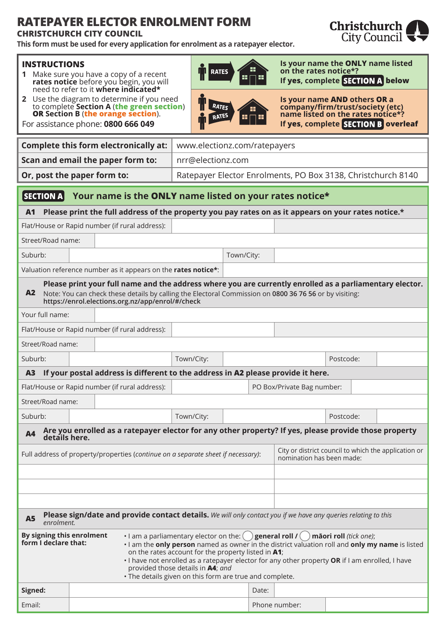## **RATEPAYER ELECTOR ENROLMENT FORM**

## **CHRISTCHURCH CITY COUNCIL**

**This form must be used for every application for enrolment as a ratepayer elector.**

## **INSTRUCTIONS**

- **1** Make sure you have a copy of a recent **rates notice** before you begin, you will need to refer to it **where indicated\***
- **2** Use the diagram to determine if you need to complete **Section A** (**the green section**) **OR Section B** (**the orange section**).

For assistance phone: **0800 666 049**



**Is your name the ONLY name listed on the rates notice\*? If yes, complete SECTION A below** 

| RATES<br><b>MES</b><br>œ |  |
|--------------------------|--|
|--------------------------|--|

**Is your name AND others OR a company/firm/trust/society (etc) name listed on the rates notice\*? If yes, complete SECTION B overleaf** 

| <b>Complete this form electronically at:</b>                                                                                                                                                                                                                                                                                                                                                                                                                                                                 |               |  | www.electionz.com/ratepayers                                                                          |                   |            |                                                      |                            |           |  |  |
|--------------------------------------------------------------------------------------------------------------------------------------------------------------------------------------------------------------------------------------------------------------------------------------------------------------------------------------------------------------------------------------------------------------------------------------------------------------------------------------------------------------|---------------|--|-------------------------------------------------------------------------------------------------------|-------------------|------------|------------------------------------------------------|----------------------------|-----------|--|--|
| Scan and email the paper form to:                                                                                                                                                                                                                                                                                                                                                                                                                                                                            |               |  |                                                                                                       | nrr@electionz.com |            |                                                      |                            |           |  |  |
| Or, post the paper form to:                                                                                                                                                                                                                                                                                                                                                                                                                                                                                  |               |  | Ratepayer Elector Enrolments, PO Box 3138, Christchurch 8140                                          |                   |            |                                                      |                            |           |  |  |
| $ $ SECTION A $ $<br>Your name is the ONLY name listed on your rates notice*                                                                                                                                                                                                                                                                                                                                                                                                                                 |               |  |                                                                                                       |                   |            |                                                      |                            |           |  |  |
| <b>A1</b>                                                                                                                                                                                                                                                                                                                                                                                                                                                                                                    |               |  | Please print the full address of the property you pay rates on as it appears on your rates notice.*   |                   |            |                                                      |                            |           |  |  |
|                                                                                                                                                                                                                                                                                                                                                                                                                                                                                                              |               |  | Flat/House or Rapid number (if rural address):                                                        |                   |            |                                                      |                            |           |  |  |
| Street/Road name:                                                                                                                                                                                                                                                                                                                                                                                                                                                                                            |               |  |                                                                                                       |                   |            |                                                      |                            |           |  |  |
| Suburb:                                                                                                                                                                                                                                                                                                                                                                                                                                                                                                      |               |  |                                                                                                       |                   | Town/City: |                                                      |                            |           |  |  |
|                                                                                                                                                                                                                                                                                                                                                                                                                                                                                                              |               |  | Valuation reference number as it appears on the rates notice*:                                        |                   |            |                                                      |                            |           |  |  |
| Please print your full name and the address where you are currently enrolled as a parliamentary elector.<br>A <sub>2</sub><br>Note: You can check these details by calling the Electoral Commission on 0800 36 76 56 or by visiting:<br>https://enrol.elections.org.nz/app/enrol/#/check                                                                                                                                                                                                                     |               |  |                                                                                                       |                   |            |                                                      |                            |           |  |  |
| Your full name:                                                                                                                                                                                                                                                                                                                                                                                                                                                                                              |               |  |                                                                                                       |                   |            |                                                      |                            |           |  |  |
|                                                                                                                                                                                                                                                                                                                                                                                                                                                                                                              |               |  | Flat/House or Rapid number (if rural address):                                                        |                   |            |                                                      |                            |           |  |  |
| Street/Road name:                                                                                                                                                                                                                                                                                                                                                                                                                                                                                            |               |  |                                                                                                       |                   |            |                                                      |                            |           |  |  |
| Suburb:                                                                                                                                                                                                                                                                                                                                                                                                                                                                                                      |               |  |                                                                                                       | Town/City:        |            |                                                      |                            | Postcode: |  |  |
| A <sub>3</sub>                                                                                                                                                                                                                                                                                                                                                                                                                                                                                               |               |  | If your postal address is different to the address in A2 please provide it here.                      |                   |            |                                                      |                            |           |  |  |
|                                                                                                                                                                                                                                                                                                                                                                                                                                                                                                              |               |  | Flat/House or Rapid number (if rural address):                                                        |                   |            |                                                      | PO Box/Private Bag number: |           |  |  |
| Street/Road name:                                                                                                                                                                                                                                                                                                                                                                                                                                                                                            |               |  |                                                                                                       |                   |            |                                                      |                            |           |  |  |
| Suburb:                                                                                                                                                                                                                                                                                                                                                                                                                                                                                                      |               |  |                                                                                                       | Town/City:        |            |                                                      |                            | Postcode: |  |  |
| <b>A4</b>                                                                                                                                                                                                                                                                                                                                                                                                                                                                                                    | details here. |  | Are you enrolled as a ratepayer elector for any other property? If yes, please provide those property |                   |            |                                                      |                            |           |  |  |
| Full address of property/properties (continue on a separate sheet if necessary):                                                                                                                                                                                                                                                                                                                                                                                                                             |               |  | nomination has been made:                                                                             |                   |            | City or district council to which the application or |                            |           |  |  |
|                                                                                                                                                                                                                                                                                                                                                                                                                                                                                                              |               |  |                                                                                                       |                   |            |                                                      |                            |           |  |  |
|                                                                                                                                                                                                                                                                                                                                                                                                                                                                                                              |               |  |                                                                                                       |                   |            |                                                      |                            |           |  |  |
|                                                                                                                                                                                                                                                                                                                                                                                                                                                                                                              |               |  |                                                                                                       |                   |            |                                                      |                            |           |  |  |
| Please sign/date and provide contact details. We will only contact you if we have any queries relating to this<br><b>A5</b><br>enrolment.                                                                                                                                                                                                                                                                                                                                                                    |               |  |                                                                                                       |                   |            |                                                      |                            |           |  |  |
| By signing this enrolment<br>• I am a parliamentary elector on the: $($ ) general roll $I($ )<br>māori roll (tick one);<br>form I declare that:<br>. I am the only person named as owner in the district valuation roll and only my name is listed<br>on the rates account for the property listed in A1;<br>. I have not enrolled as a ratepayer elector for any other property OR if I am enrolled, I have<br>provided those details in A4; and<br>. The details given on this form are true and complete. |               |  |                                                                                                       |                   |            |                                                      |                            |           |  |  |
| Signed:                                                                                                                                                                                                                                                                                                                                                                                                                                                                                                      |               |  |                                                                                                       |                   |            | Date:                                                |                            |           |  |  |
| Email:                                                                                                                                                                                                                                                                                                                                                                                                                                                                                                       |               |  |                                                                                                       |                   |            |                                                      | Phone number:              |           |  |  |